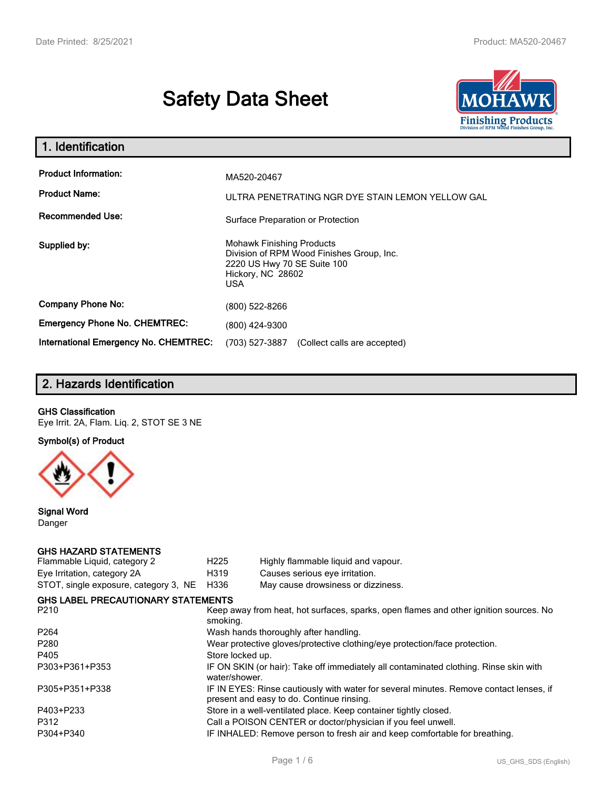# **Safety Data Sheet**



| 1. Identification                                                              |                                                                                                                                                 |
|--------------------------------------------------------------------------------|-------------------------------------------------------------------------------------------------------------------------------------------------|
| <b>Product Information:</b><br><b>Product Name:</b><br><b>Recommended Use:</b> | MA520-20467<br>ULTRA PENETRATING NGR DYE STAIN LEMON YELLOW GAL<br>Surface Preparation or Protection                                            |
| Supplied by:                                                                   | <b>Mohawk Finishing Products</b><br>Division of RPM Wood Finishes Group, Inc.<br>2220 US Hwy 70 SE Suite 100<br>Hickory, NC 28602<br><b>USA</b> |
| <b>Company Phone No:</b>                                                       | (800) 522-8266                                                                                                                                  |
| <b>Emergency Phone No. CHEMTREC:</b>                                           | (800) 424-9300                                                                                                                                  |
| <b>International Emergency No. CHEMTREC:</b>                                   | (703) 527-3887<br>(Collect calls are accepted)                                                                                                  |

## **2. Hazards Identification**

#### **GHS Classification**

Eye Irrit. 2A, Flam. Liq. 2, STOT SE 3 NE

**Symbol(s) of Product**



**Signal Word** Danger

#### **GHS HAZARD STATEMENTS**

| H <sub>225</sub>                                                                                                                    | Highly flammable liquid and vapour.       |  |
|-------------------------------------------------------------------------------------------------------------------------------------|-------------------------------------------|--|
| H319                                                                                                                                | Causes serious eye irritation.            |  |
| H336                                                                                                                                | May cause drowsiness or dizziness.        |  |
|                                                                                                                                     |                                           |  |
| Keep away from heat, hot surfaces, sparks, open flames and other ignition sources. No<br>smoking.                                   |                                           |  |
|                                                                                                                                     | Wash hands thoroughly after handling.     |  |
| Wear protective gloves/protective clothing/eye protection/face protection.                                                          |                                           |  |
| Store locked up.                                                                                                                    |                                           |  |
| IF ON SKIN (or hair): Take off immediately all contaminated clothing. Rinse skin with<br>water/shower.                              |                                           |  |
| IF IN EYES: Rinse cautiously with water for several minutes. Remove contact lenses, if<br>present and easy to do. Continue rinsing. |                                           |  |
| Store in a well-ventilated place. Keep container tightly closed.                                                                    |                                           |  |
| Call a POISON CENTER or doctor/physician if you feel unwell.                                                                        |                                           |  |
| IF INHALED: Remove person to fresh air and keep comfortable for breathing.                                                          |                                           |  |
|                                                                                                                                     | <b>GHS LABEL PRECAUTIONARY STATEMENTS</b> |  |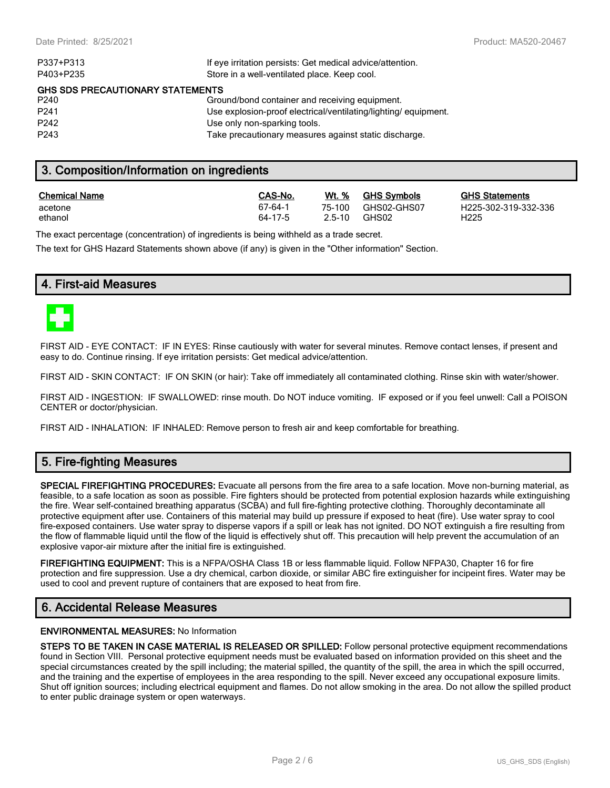| P337+P313                        | If eye irritation persists: Get medical advice/attention.      |  |  |  |
|----------------------------------|----------------------------------------------------------------|--|--|--|
| P403+P235                        | Store in a well-ventilated place. Keep cool.                   |  |  |  |
| GHS SDS PRECAUTIONARY STATEMENTS |                                                                |  |  |  |
| P240                             | Ground/bond container and receiving equipment.                 |  |  |  |
| P <sub>241</sub>                 | Use explosion-proof electrical/ventilating/lighting/equipment. |  |  |  |
| P <sub>242</sub>                 | Use only non-sparking tools.                                   |  |  |  |
| P <sub>243</sub>                 | Take precautionary measures against static discharge.          |  |  |  |
|                                  |                                                                |  |  |  |

### **3. Composition/Information on ingredients**

| <b>Chemical Name</b> | CAS-No. | Wt. %  | <b>GHS Symbols</b> | <u>GHS</u>       |
|----------------------|---------|--------|--------------------|------------------|
| acetone              | 67-64-1 | 75-100 | GHS02-GHS07        | H <sub>225</sub> |
| ethanol              | 64-17-5 | 2.5-10 | GHS02              | H <sub>225</sub> |

**CHS Statements** H225-302-319-332-336

The exact percentage (concentration) of ingredients is being withheld as a trade secret.

The text for GHS Hazard Statements shown above (if any) is given in the "Other information" Section.

### **4. First-aid Measures**



FIRST AID - EYE CONTACT: IF IN EYES: Rinse cautiously with water for several minutes. Remove contact lenses, if present and easy to do. Continue rinsing. If eye irritation persists: Get medical advice/attention.

FIRST AID - SKIN CONTACT: IF ON SKIN (or hair): Take off immediately all contaminated clothing. Rinse skin with water/shower.

FIRST AID - INGESTION: IF SWALLOWED: rinse mouth. Do NOT induce vomiting. IF exposed or if you feel unwell: Call a POISON CENTER or doctor/physician.

FIRST AID - INHALATION: IF INHALED: Remove person to fresh air and keep comfortable for breathing.

### **5. Fire-fighting Measures**

**SPECIAL FIREFIGHTING PROCEDURES:** Evacuate all persons from the fire area to a safe location. Move non-burning material, as feasible, to a safe location as soon as possible. Fire fighters should be protected from potential explosion hazards while extinguishing the fire. Wear self-contained breathing apparatus (SCBA) and full fire-fighting protective clothing. Thoroughly decontaminate all protective equipment after use. Containers of this material may build up pressure if exposed to heat (fire). Use water spray to cool fire-exposed containers. Use water spray to disperse vapors if a spill or leak has not ignited. DO NOT extinguish a fire resulting from the flow of flammable liquid until the flow of the liquid is effectively shut off. This precaution will help prevent the accumulation of an explosive vapor-air mixture after the initial fire is extinguished.

**FIREFIGHTING EQUIPMENT:** This is a NFPA/OSHA Class 1B or less flammable liquid. Follow NFPA30, Chapter 16 for fire protection and fire suppression. Use a dry chemical, carbon dioxide, or similar ABC fire extinguisher for incipeint fires. Water may be used to cool and prevent rupture of containers that are exposed to heat from fire.

### **6. Accidental Release Measures**

#### **ENVIRONMENTAL MEASURES:** No Information

**STEPS TO BE TAKEN IN CASE MATERIAL IS RELEASED OR SPILLED:** Follow personal protective equipment recommendations found in Section VIII. Personal protective equipment needs must be evaluated based on information provided on this sheet and the special circumstances created by the spill including; the material spilled, the quantity of the spill, the area in which the spill occurred, and the training and the expertise of employees in the area responding to the spill. Never exceed any occupational exposure limits. Shut off ignition sources; including electrical equipment and flames. Do not allow smoking in the area. Do not allow the spilled product to enter public drainage system or open waterways.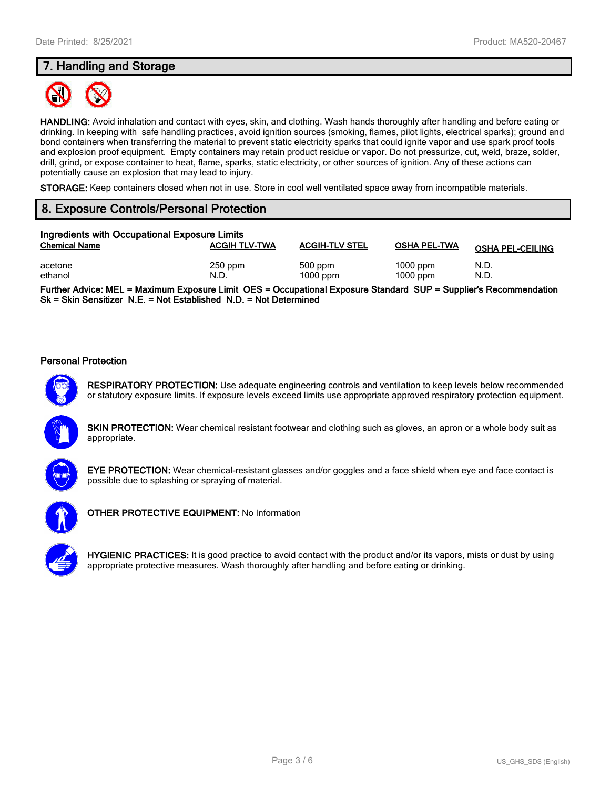### **7. Handling and Storage**



**HANDLING:** Avoid inhalation and contact with eyes, skin, and clothing. Wash hands thoroughly after handling and before eating or drinking. In keeping with safe handling practices, avoid ignition sources (smoking, flames, pilot lights, electrical sparks); ground and bond containers when transferring the material to prevent static electricity sparks that could ignite vapor and use spark proof tools and explosion proof equipment. Empty containers may retain product residue or vapor. Do not pressurize, cut, weld, braze, solder, drill, grind, or expose container to heat, flame, sparks, static electricity, or other sources of ignition. Any of these actions can potentially cause an explosion that may lead to injury.

**STORAGE:** Keep containers closed when not in use. Store in cool well ventilated space away from incompatible materials.

### **8. Exposure Controls/Personal Protection**

| Ingredients with Occupational Exposure Limits |                      |                         |                          |                         |
|-----------------------------------------------|----------------------|-------------------------|--------------------------|-------------------------|
| <b>Chemical Name</b>                          | <b>ACGIH TLV-TWA</b> | <b>ACGIH-TLV STEL</b>   | <b>OSHA PEL-TWA</b>      | <b>OSHA PEL-CEILING</b> |
| acetone<br>ethanol                            | $250$ ppm<br>N.D.    | $500$ ppm<br>$1000$ ppm | $1000$ ppm<br>$1000$ ppm | N.D.<br>N.D.            |

**Further Advice: MEL = Maximum Exposure Limit OES = Occupational Exposure Standard SUP = Supplier's Recommendation Sk = Skin Sensitizer N.E. = Not Established N.D. = Not Determined**

#### **Personal Protection**



**RESPIRATORY PROTECTION:** Use adequate engineering controls and ventilation to keep levels below recommended or statutory exposure limits. If exposure levels exceed limits use appropriate approved respiratory protection equipment.

**SKIN PROTECTION:** Wear chemical resistant footwear and clothing such as gloves, an apron or a whole body suit as appropriate.



**EYE PROTECTION:** Wear chemical-resistant glasses and/or goggles and a face shield when eye and face contact is possible due to splashing or spraying of material.



**OTHER PROTECTIVE EQUIPMENT:** No Information



**HYGIENIC PRACTICES:** It is good practice to avoid contact with the product and/or its vapors, mists or dust by using appropriate protective measures. Wash thoroughly after handling and before eating or drinking.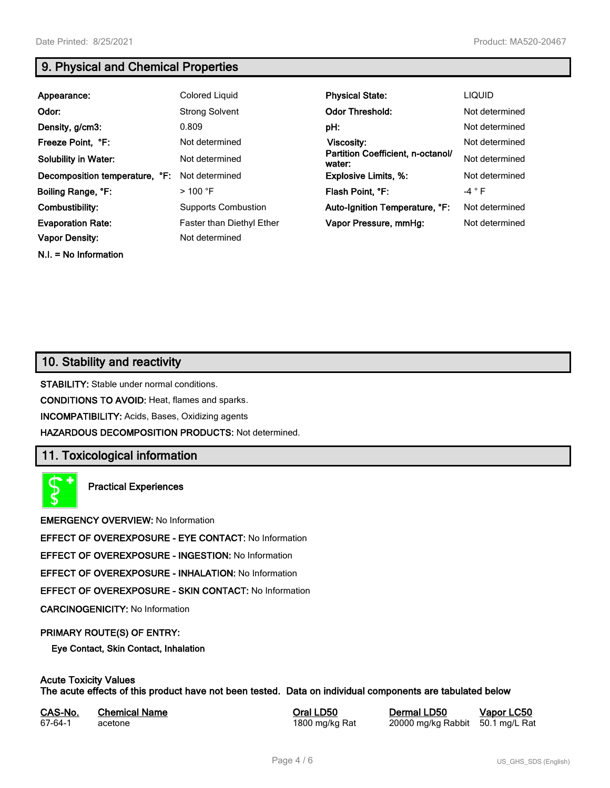**N.I. = No Information**

### **9. Physical and Chemical Properties**

| Appearance:                    | Colored Liquid             | <b>Physical State:</b>                      | <b>LIQUID</b>   |
|--------------------------------|----------------------------|---------------------------------------------|-----------------|
| Odor:                          | <b>Strong Solvent</b>      | <b>Odor Threshold:</b>                      | Not determined  |
| Density, g/cm3:                | 0.809                      | pH:                                         | Not determined  |
| Freeze Point, °F:              | Not determined             | <b>Viscosity:</b>                           | Not determined  |
| <b>Solubility in Water:</b>    | Not determined             | Partition Coefficient, n-octanol/<br>water: | Not determined  |
| Decomposition temperature, °F: | Not determined             | <b>Explosive Limits, %:</b>                 | Not determined  |
| Boiling Range, °F:             | $>100$ °F                  | Flash Point, °F:                            | -4 $^{\circ}$ F |
| Combustibility:                | <b>Supports Combustion</b> | Auto-Ignition Temperature, °F:              | Not determined  |
| <b>Evaporation Rate:</b>       | Faster than Diethyl Ether  | Vapor Pressure, mmHg:                       | Not determined  |
| <b>Vapor Density:</b>          | Not determined             |                                             |                 |

# **10. Stability and reactivity**

**STABILITY:** Stable under normal conditions.

**CONDITIONS TO AVOID:** Heat, flames and sparks.

**INCOMPATIBILITY:** Acids, Bases, Oxidizing agents

**HAZARDOUS DECOMPOSITION PRODUCTS:** Not determined.

### **11. Toxicological information**

**Practical Experiences**

**EMERGENCY OVERVIEW:** No Information

**EFFECT OF OVEREXPOSURE - EYE CONTACT:** No Information

**EFFECT OF OVEREXPOSURE - INGESTION:** No Information

**EFFECT OF OVEREXPOSURE - INHALATION:** No Information

**EFFECT OF OVEREXPOSURE - SKIN CONTACT:** No Information

**CARCINOGENICITY:** No Information

#### **PRIMARY ROUTE(S) OF ENTRY:**

**Eye Contact, Skin Contact, Inhalation**

### **Acute Toxicity Values**

**The acute effects of this product have not been tested. Data on individual components are tabulated below**

| CAS-No. | <b>Chemical Name</b> |
|---------|----------------------|
| 67-64-1 | acetone              |

**Casary Chemical Chemical LD50 Chemical LD50 Vapor LC50** 1800 mg/kg Rat 20000 mg/kg Rabbit 50.1 mg/L Rat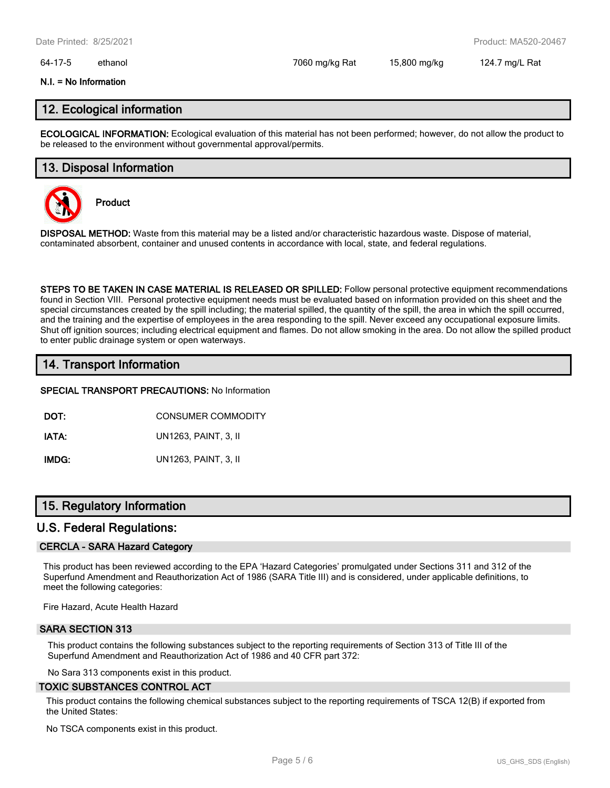#### 64-17-5 ethanol 7060 mg/kg Rat 15,800 mg/kg 124.7 mg/L Rat

#### **N.I. = No Information**

### **12. Ecological information**

**ECOLOGICAL INFORMATION:** Ecological evaluation of this material has not been performed; however, do not allow the product to be released to the environment without governmental approval/permits.

### **13. Disposal Information**



**Product**

**DISPOSAL METHOD:** Waste from this material may be a listed and/or characteristic hazardous waste. Dispose of material, contaminated absorbent, container and unused contents in accordance with local, state, and federal regulations.

**STEPS TO BE TAKEN IN CASE MATERIAL IS RELEASED OR SPILLED:** Follow personal protective equipment recommendations found in Section VIII. Personal protective equipment needs must be evaluated based on information provided on this sheet and the special circumstances created by the spill including; the material spilled, the quantity of the spill, the area in which the spill occurred, and the training and the expertise of employees in the area responding to the spill. Never exceed any occupational exposure limits. Shut off ignition sources; including electrical equipment and flames. Do not allow smoking in the area. Do not allow the spilled product to enter public drainage system or open waterways.

### **14. Transport Information**

#### **SPECIAL TRANSPORT PRECAUTIONS:** No Information

**DOT:** CONSUMER COMMODITY

**IATA:** UN1263, PAINT, 3, II

**IMDG:** UN1263, PAINT, 3, II

### **15. Regulatory Information**

#### **U.S. Federal Regulations:**

#### **CERCLA - SARA Hazard Category**

This product has been reviewed according to the EPA 'Hazard Categories' promulgated under Sections 311 and 312 of the Superfund Amendment and Reauthorization Act of 1986 (SARA Title III) and is considered, under applicable definitions, to meet the following categories:

Fire Hazard, Acute Health Hazard

#### **SARA SECTION 313**

This product contains the following substances subject to the reporting requirements of Section 313 of Title III of the Superfund Amendment and Reauthorization Act of 1986 and 40 CFR part 372:

No Sara 313 components exist in this product.

#### **TOXIC SUBSTANCES CONTROL ACT**

This product contains the following chemical substances subject to the reporting requirements of TSCA 12(B) if exported from the United States:

No TSCA components exist in this product.